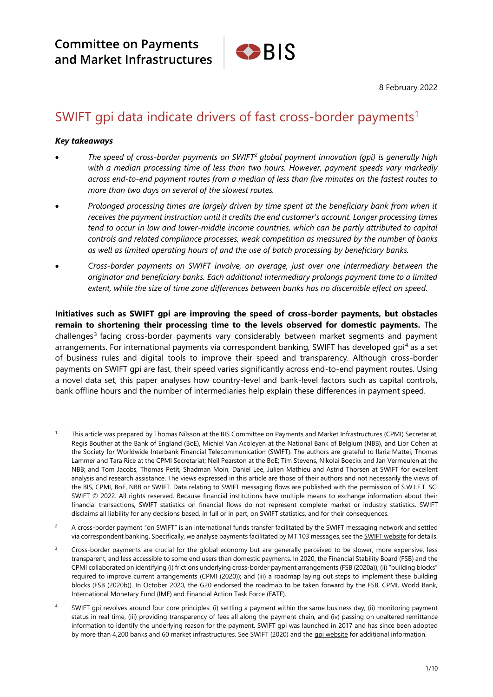

# SWIFT gpi data indicate drivers of fast cross-border payments 1

### *Key takeaways*

- *The speed of cross-border payments on SWIFT<sup>2</sup> global payment innovation (gpi) is generally high with a median processing time of less than two hours. However, payment speeds vary markedly across end-to-end payment routes from a median of less than five minutes on the fastest routes to more than two days on several of the slowest routes.*
- *Prolonged processing times are largely driven by time spent at the beneficiary bank from when it receives the payment instruction until it credits the end customer's account. Longer processing times tend to occur in low and lower-middle income countries, which can be partly attributed to capital controls and related compliance processes, weak competition as measured by the number of banks as well as limited operating hours of and the use of batch processing by beneficiary banks.*
- *Cross-border payments on SWIFT involve, on average, just over one intermediary between the originator and beneficiary banks. Each additional intermediary prolongs payment time to a limited extent, while the size of time zone differences between banks has no discernible effect on speed.*

**Initiatives such as SWIFT gpi are improving the speed of cross-border payments, but obstacles remain to shortening their processing time to the levels observed for domestic payments.** The challenges<sup>3</sup> facing cross-border payments vary considerably between market segments and payment arrangements. For international payments via correspondent banking, SWIFT has developed gpi<sup>4</sup> as a set of business rules and digital tools to improve their speed and transparency. Although cross-border payments on SWIFT gpi are fast, their speed varies significantly across end-to-end payment routes. Using a novel data set, this paper analyses how country-level and bank-level factors such as capital controls, bank offline hours and the number of intermediaries help explain these differences in payment speed.

 $2$  A cross-border payment "on SWIFT" is an international funds transfer facilitated by the SWIFT messaging network and settled via correspondent banking. Specifically, we analyse payments facilitated by MT 103 messages, see the **SWIFT website** for details.

- <sup>3</sup> Cross-border payments are crucial for the global economy but are generally perceived to be slower, more expensive, less transparent, and less accessible to some end users than domestic payments. In 2020, the Financial Stability Board (FSB) and the CPMI collaborated on identifying (i) frictions underlying cross-border payment arrangements (FSB (2020a)); (ii) "building blocks" required to improve current arrangements (CPMI (2020)); and (iii) a roadmap laying out steps to implement these building blocks (FSB (2020b)). In October 2020, the G20 endorsed the roadmap to be taken forward by the FSB, CPMI, World Bank, International Monetary Fund (IMF) and Financial Action Task Force (FATF).
- <sup>4</sup> SWIFT gpi revolves around four core principles: (i) settling a payment within the same business day, (ii) monitoring payment status in real time, (iii) providing transparency of fees all along the payment chain, and (iv) passing on unaltered remittance information to identify the underlying reason for the payment. SWIFT gpi was launched in 2017 and has since been adopted by more than 4,200 banks and 60 market infrastructures. See SWIFT (2020) and the [gpi website](https://www.swift.com/our-solutions/swift-gpi) for additional information.

<sup>&</sup>lt;sup>1</sup> This article was prepared by Thomas Nilsson at the BIS Committee on Payments and Market Infrastructures (CPMI) Secretariat, Regis Bouther at the Bank of England (BoE), Michiel Van Acoleyen at the National Bank of Belgium (NBB), and Lior Cohen at the Society for Worldwide Interbank Financial Telecommunication (SWIFT). The authors are grateful to Ilaria Mattei, Thomas Lammer and Tara Rice at the CPMI Secretariat; Neil Pearston at the BoE; Tim Stevens, Nikolai Boeckx and Jan Vermeulen at the NBB; and Tom Jacobs, Thomas Petit, Shadman Moin, Daniel Lee, Julien Mathieu and Astrid Thorsen at SWIFT for excellent analysis and research assistance. The views expressed in this article are those of their authors and not necessarily the views of the BIS, CPMI, BoE, NBB or SWIFT. Data relating to SWIFT messaging flows are published with the permission of S.W.I.F.T. SC. SWIFT © 2022. All rights reserved. Because financial institutions have multiple means to exchange information about their financial transactions, SWIFT statistics on financial flows do not represent complete market or industry statistics. SWIFT disclaims all liability for any decisions based, in full or in part, on SWIFT statistics, and for their consequences.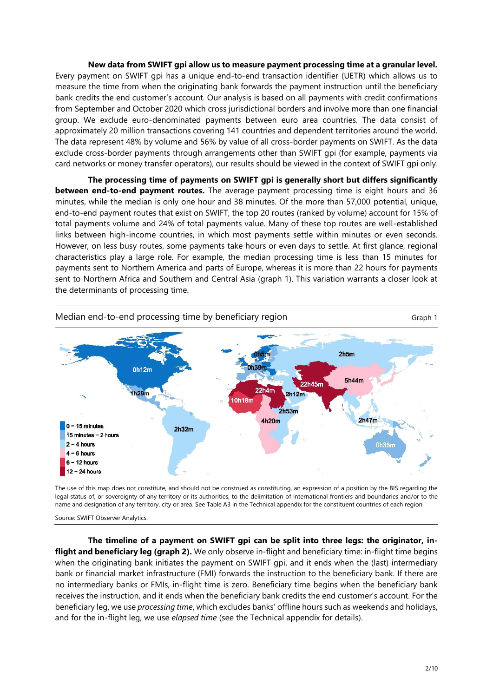### **New data from SWIFT gpi allow us to measure payment processing time at a granular level.** Every payment on SWIFT gpi has a unique end-to-end transaction identifier (UETR) which allows us to measure the time from when the originating bank forwards the payment instruction until the beneficiary bank credits the end customer's account. Our analysis is based on all payments with credit confirmations from September and October 2020 which cross jurisdictional borders and involve more than one financial group. We exclude euro-denominated payments between euro area countries. The data consist of approximately 20 million transactions covering 141 countries and dependent territories around the world. The data represent 48% by volume and 56% by value of all cross-border payments on SWIFT. As the data exclude cross-border payments through arrangements other than SWIFT gpi (for example, payments via card networks or money transfer operators), our results should be viewed in the context of SWIFT gpi only.

**The processing time of payments on SWIFT gpi is generally short but differs significantly between end-to-end payment routes.** The average payment processing time is eight hours and 36 minutes, while the median is only one hour and 38 minutes. Of the more than 57,000 potential, unique, end-to-end payment routes that exist on SWIFT, the top 20 routes (ranked by volume) account for 15% of total payments volume and 24% of total payments value. Many of these top routes are well-established links between high-income countries, in which most payments settle within minutes or even seconds. However, on less busy routes, some payments take hours or even days to settle. At first glance, regional characteristics play a large role. For example, the median processing time is less than 15 minutes for payments sent to Northern America and parts of Europe, whereas it is more than 22 hours for payments sent to Northern Africa and Southern and Central Asia (graph 1). This variation warrants a closer look at the determinants of processing time.



The use of this map does not constitute, and should not be construed as constituting, an expression of a position by the BIS regarding the legal status of, or sovereignty of any territory or its authorities, to the delimitation of international frontiers and boundaries and/or to the name and designation of any territory, city or area. See Table A3 in the Technical appendix for the constituent countries of each region.

Source: SWIFT Observer Analytics.

**The timeline of a payment on SWIFT gpi can be split into three legs: the originator, inflight and beneficiary leg (graph 2).** We only observe in-flight and beneficiary time: in-flight time begins when the originating bank initiates the payment on SWIFT gpi, and it ends when the (last) intermediary bank or financial market infrastructure (FMI) forwards the instruction to the beneficiary bank. If there are no intermediary banks or FMIs, in-flight time is zero. Beneficiary time begins when the beneficiary bank receives the instruction, and it ends when the beneficiary bank credits the end customer's account. For the beneficiary leg, we use *processing time*, which excludes banks' offline hours such as weekends and holidays, and for the in-flight leg, we use *elapsed time* (see the Technical appendix for details).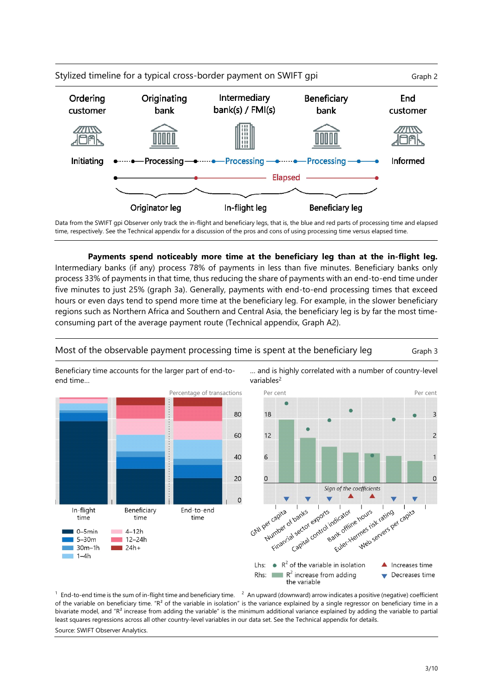

Data from the SWIFT gpi Observer only track the in-flight and beneficiary legs, that is, the blue and red parts of processing time and elapsed time, respectively. See the Technical appendix for a discussion of the pros and cons of using processing time versus elapsed time.

#### **Payments spend noticeably more time at the beneficiary leg than at the in-flight leg.**

Intermediary banks (if any) process 78% of payments in less than five minutes. Beneficiary banks only process 33% of payments in that time, thus reducing the share of payments with an end-to-end time under five minutes to just 25% (graph 3a). Generally, payments with end-to-end processing times that exceed hours or even days tend to spend more time at the beneficiary leg. For example, in the slower beneficiary regions such as Northern Africa and Southern and Central Asia, the beneficiary leg is by far the most timeconsuming part of the average payment route (Technical appendix, Graph A2).

# Most of the observable payment processing time is spent at the beneficiary leg straph 3



… and is highly correlated with a number of country-level variables<sup>2</sup>



<sup>1</sup> End-to-end time is the sum of in-flight time and beneficiary time. <sup>2</sup> An upward (downward) arrow indicates a positive (negative) coefficient of the variable on beneficiary time. " $R^2$  of the variable in isolation" is the variance explained by a single regressor on beneficiary time in a bivariate model, and "R<sup>2</sup> increase from adding the variable" is the minimum additional variance explained by adding the variable to partial least squares regressions across all other country-level variables in our data set. See the Technical appendix for details. Source: SWIFT Observer Analytics.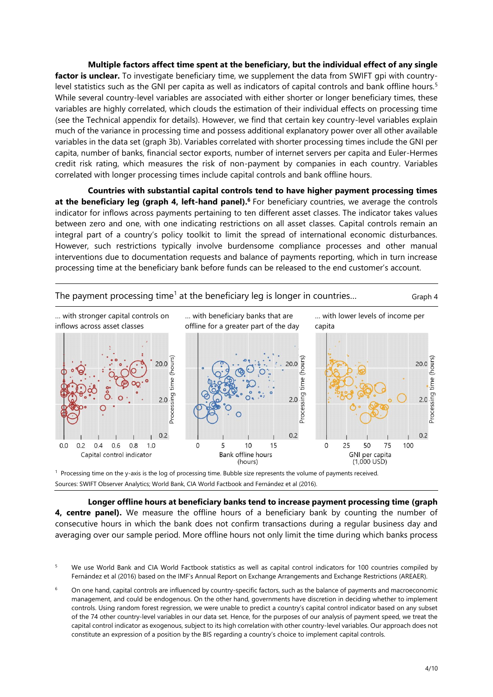**Multiple factors affect time spent at the beneficiary, but the individual effect of any single factor is unclear.** To investigate beneficiary time, we supplement the data from SWIFT gpi with countrylevel statistics such as the GNI per capita as well as indicators of capital controls and bank offline hours.<sup>5</sup> While several country-level variables are associated with either shorter or longer beneficiary times, these variables are highly correlated, which clouds the estimation of their individual effects on processing time (see the Technical appendix for details). However, we find that certain key country-level variables explain much of the variance in processing time and possess additional explanatory power over all other available variables in the data set (graph 3b). Variables correlated with shorter processing times include the GNI per capita, number of banks, financial sector exports, number of internet servers per capita and Euler-Hermes credit risk rating, which measures the risk of non-payment by companies in each country. Variables correlated with longer processing times include capital controls and bank offline hours.

**Countries with substantial capital controls tend to have higher payment processing times at the beneficiary leg (graph 4, left-hand panel).<sup>6</sup>** For beneficiary countries, we average the controls indicator for inflows across payments pertaining to ten different asset classes. The indicator takes values between zero and one, with one indicating restrictions on all asset classes. Capital controls remain an integral part of a country's policy toolkit to limit the spread of international economic disturbances. However, such restrictions typically involve burdensome compliance processes and other manual interventions due to documentation requests and balance of payments reporting, which in turn increase processing time at the beneficiary bank before funds can be released to the end customer's account.



<sup>1</sup> Processing time on the y-axis is the log of processing time. Bubble size represents the volume of payments received. Sources: SWIFT Observer Analytics; World Bank, CIA World Factbook and Fernández et al (2016).

**Longer offline hours at beneficiary banks tend to increase payment processing time (graph 4, centre panel).** We measure the offline hours of a beneficiary bank by counting the number of consecutive hours in which the bank does not confirm transactions during a regular business day and averaging over our sample period. More offline hours not only limit the time during which banks process

<sup>5</sup> We use World Bank and CIA World Factbook statistics as well as capital control indicators for 100 countries compiled by Fernández et al (2016) based on the IMF's Annual Report on Exchange Arrangements and Exchange Restrictions (AREAER).

<sup>6</sup> On one hand, capital controls are influenced by country-specific factors, such as the balance of payments and macroeconomic management, and could be endogenous. On the other hand, governments have discretion in deciding whether to implement controls. Using random forest regression, we were unable to predict a country's capital control indicator based on any subset of the 74 other country-level variables in our data set. Hence, for the purposes of our analysis of payment speed, we treat the capital control indicator as exogenous, subject to its high correlation with other country-level variables. Our approach does not constitute an expression of a position by the BIS regarding a country's choice to implement capital controls.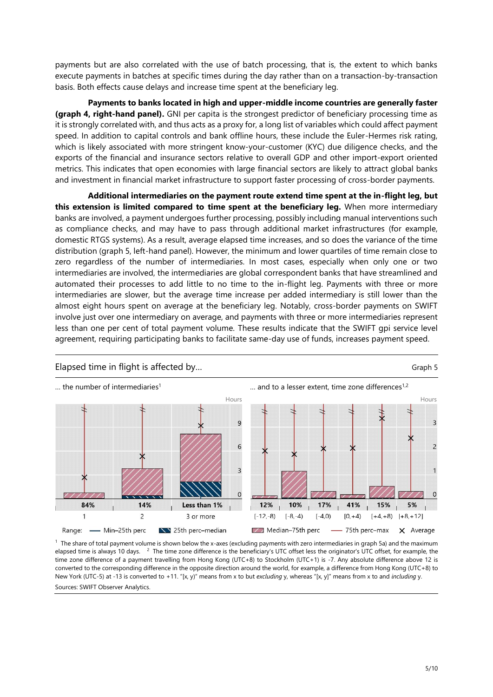payments but are also correlated with the use of batch processing, that is, the extent to which banks execute payments in batches at specific times during the day rather than on a transaction-by-transaction basis. Both effects cause delays and increase time spent at the beneficiary leg.

**Payments to banks located in high and upper-middle income countries are generally faster (graph 4, right-hand panel).** GNI per capita is the strongest predictor of beneficiary processing time as it is strongly correlated with, and thus acts as a proxy for, a long list of variables which could affect payment speed. In addition to capital controls and bank offline hours, these include the Euler-Hermes risk rating, which is likely associated with more stringent know-your-customer (KYC) due diligence checks, and the exports of the financial and insurance sectors relative to overall GDP and other import-export oriented metrics. This indicates that open economies with large financial sectors are likely to attract global banks and investment in financial market infrastructure to support faster processing of cross-border payments.

**Additional intermediaries on the payment route extend time spent at the in-flight leg, but this extension is limited compared to time spent at the beneficiary leg.** When more intermediary banks are involved, a payment undergoes further processing, possibly including manual interventions such as compliance checks, and may have to pass through additional market infrastructures (for example, domestic RTGS systems). As a result, average elapsed time increases, and so does the variance of the time distribution (graph 5, left-hand panel). However, the minimum and lower quartiles of time remain close to zero regardless of the number of intermediaries. In most cases, especially when only one or two intermediaries are involved, the intermediaries are global correspondent banks that have streamlined and automated their processes to add little to no time to the in-flight leg. Payments with three or more intermediaries are slower, but the average time increase per added intermediary is still lower than the almost eight hours spent on average at the beneficiary leg. Notably, cross-border payments on SWIFT involve just over one intermediary on average, and payments with three or more intermediaries represent less than one per cent of total payment volume. These results indicate that the SWIFT gpi service level agreement, requiring participating banks to facilitate same-day use of funds, increases payment speed.



<sup>1</sup> The share of total payment volume is shown below the x-axes (excluding payments with zero intermediaries in graph 5a) and the maximum elapsed time is always 10 days. <sup>2</sup> The time zone difference is the beneficiary's UTC offset less the originator's UTC offset, for example, the time zone difference of a payment travelling from Hong Kong (UTC+8) to Stockholm (UTC+1) is -7. Any absolute difference above 12 is converted to the corresponding difference in the opposite direction around the world, for example, a difference from Hong Kong (UTC+8) to New York (UTC-5) at -13 is converted to +11. "[x, y)" means from x to but *excluding* y, whereas "[x, y]" means from x to and *including* y. Sources: SWIFT Observer Analytics.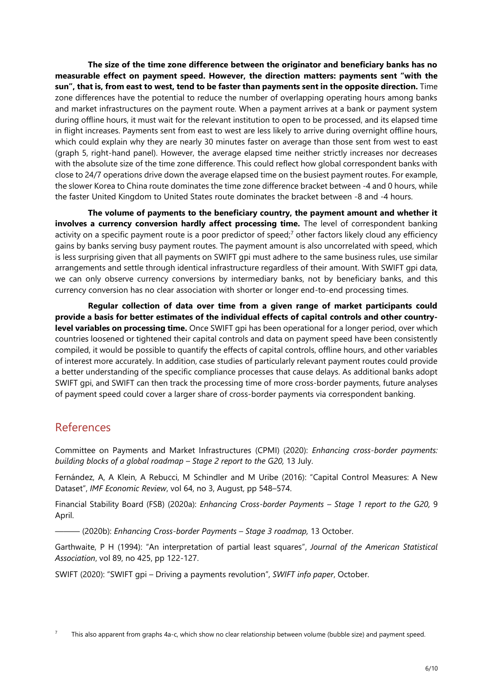**The size of the time zone difference between the originator and beneficiary banks has no measurable effect on payment speed. However, the direction matters: payments sent "with the sun", that is, from east to west, tend to be faster than payments sent in the opposite direction.** Time zone differences have the potential to reduce the number of overlapping operating hours among banks and market infrastructures on the payment route. When a payment arrives at a bank or payment system during offline hours, it must wait for the relevant institution to open to be processed, and its elapsed time in flight increases. Payments sent from east to west are less likely to arrive during overnight offline hours, which could explain why they are nearly 30 minutes faster on average than those sent from west to east (graph 5, right-hand panel). However, the average elapsed time neither strictly increases nor decreases with the absolute size of the time zone difference. This could reflect how global correspondent banks with close to 24/7 operations drive down the average elapsed time on the busiest payment routes. For example, the slower Korea to China route dominates the time zone difference bracket between -4 and 0 hours, while the faster United Kingdom to United States route dominates the bracket between -8 and -4 hours.

**The volume of payments to the beneficiary country, the payment amount and whether it involves a currency conversion hardly affect processing time.** The level of correspondent banking activity on a specific payment route is a poor predictor of speed; <sup>7</sup> other factors likely cloud any efficiency gains by banks serving busy payment routes. The payment amount is also uncorrelated with speed, which is less surprising given that all payments on SWIFT gpi must adhere to the same business rules, use similar arrangements and settle through identical infrastructure regardless of their amount. With SWIFT gpi data, we can only observe currency conversions by intermediary banks, not by beneficiary banks, and this currency conversion has no clear association with shorter or longer end-to-end processing times.

**Regular collection of data over time from a given range of market participants could provide a basis for better estimates of the individual effects of capital controls and other countrylevel variables on processing time.** Once SWIFT gpi has been operational for a longer period, over which countries loosened or tightened their capital controls and data on payment speed have been consistently compiled, it would be possible to quantify the effects of capital controls, offline hours, and other variables of interest more accurately. In addition, case studies of particularly relevant payment routes could provide a better understanding of the specific compliance processes that cause delays. As additional banks adopt SWIFT gpi, and SWIFT can then track the processing time of more cross-border payments, future analyses of payment speed could cover a larger share of cross-border payments via correspondent banking.

## References

Committee on Payments and Market Infrastructures (CPMI) (2020): *[Enhancing cross-border payments:](https://www.bis.org/cpmi/publ/d193.htm)  [building blocks of a global roadmap](https://www.bis.org/cpmi/publ/d193.htm) – Stage 2 report to the G20,* 13 July.

Fernández, A, A Klein, A Rebucci, M Schindler and M Uribe (2016): "[Capital Control Measures: A New](http://www.columbia.edu/~mu2166/fkrsu)  [Dataset](http://www.columbia.edu/~mu2166/fkrsu)", *IMF Economic Review*, vol 64, no 3, August, pp 548–574.

Financial Stability Board (FSB) (2020a): *[Enhancing Cross-border Payments](https://www.fsb.org/2020/04/enhancing-cross-border-payments-stage-1-report-to-the-g20/) – Stage 1 report to the G20,* 9 April.

——— (2020b): *[Enhancing Cross-border Payments](https://www.fsb.org/2020/10/enhancing-cross-border-payments-stage-3-roadmap/) – Stage 3 roadmap,* 13 October.

Garthwaite, P H (1994): ["An interpretation of partial least squares"](https://www.jstor.org/stable/2291207), *Journal of the American Statistical Association*, vol 89, no 425, pp 122-127.

SWIFT (2020): "SWIFT gpi – [Driving a payments revolution](https://www.swift.com/news-events/news/swift-gpi-driving-payments-revolution)", *SWIFT info paper*, October.

 $7$  This also apparent from graphs 4a-c, which show no clear relationship between volume (bubble size) and payment speed.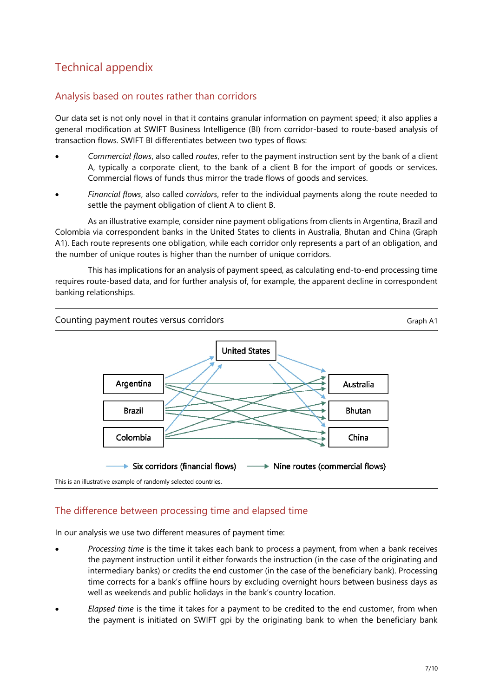# Technical appendix

### Analysis based on routes rather than corridors

Our data set is not only novel in that it contains granular information on payment speed; it also applies a general modification at SWIFT Business Intelligence (BI) from corridor-based to route-based analysis of transaction flows. SWIFT BI differentiates between two types of flows:

- *Commercial flows*, also called *routes*, refer to the payment instruction sent by the bank of a client A, typically a corporate client, to the bank of a client B for the import of goods or services. Commercial flows of funds thus mirror the trade flows of goods and services.
- *Financial flows*, also called *corridors*, refer to the individual payments along the route needed to settle the payment obligation of client A to client B.

As an illustrative example, consider nine payment obligations from clients in Argentina, Brazil and Colombia via correspondent banks in the United States to clients in Australia, Bhutan and China (Graph A1). Each route represents one obligation, while each corridor only represents a part of an obligation, and the number of unique routes is higher than the number of unique corridors.

This has implications for an analysis of payment speed, as calculating end-to-end processing time requires route-based data, and for further analysis of, for example, the apparent decline in correspondent banking relationships.



### The difference between processing time and elapsed time

In our analysis we use two different measures of payment time:

- *Processing time* is the time it takes each bank to process a payment, from when a bank receives the payment instruction until it either forwards the instruction (in the case of the originating and intermediary banks) or credits the end customer (in the case of the beneficiary bank). Processing time corrects for a bank's offline hours by excluding overnight hours between business days as well as weekends and public holidays in the bank's country location.
- *Elapsed time* is the time it takes for a payment to be credited to the end customer, from when the payment is initiated on SWIFT gpi by the originating bank to when the beneficiary bank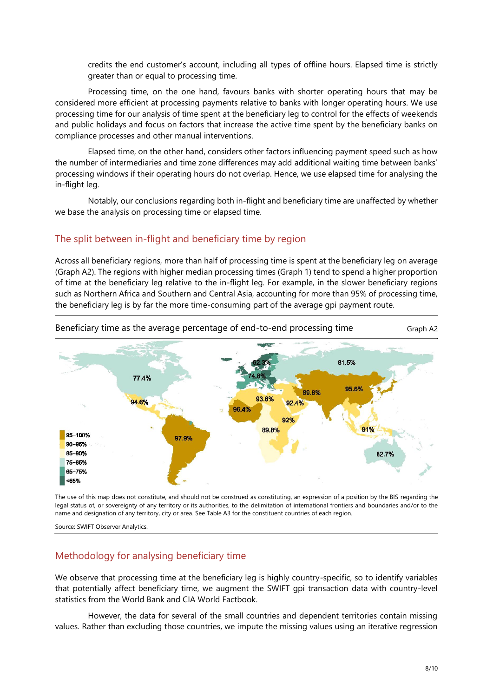credits the end customer's account, including all types of offline hours. Elapsed time is strictly greater than or equal to processing time.

Processing time, on the one hand, favours banks with shorter operating hours that may be considered more efficient at processing payments relative to banks with longer operating hours. We use processing time for our analysis of time spent at the beneficiary leg to control for the effects of weekends and public holidays and focus on factors that increase the active time spent by the beneficiary banks on compliance processes and other manual interventions.

Elapsed time, on the other hand, considers other factors influencing payment speed such as how the number of intermediaries and time zone differences may add additional waiting time between banks' processing windows if their operating hours do not overlap. Hence, we use elapsed time for analysing the in-flight leg.

Notably, our conclusions regarding both in-flight and beneficiary time are unaffected by whether we base the analysis on processing time or elapsed time.

### The split between in-flight and beneficiary time by region

Across all beneficiary regions, more than half of processing time is spent at the beneficiary leg on average (Graph A2). The regions with higher median processing times (Graph 1) tend to spend a higher proportion of time at the beneficiary leg relative to the in-flight leg. For example, in the slower beneficiary regions such as Northern Africa and Southern and Central Asia, accounting for more than 95% of processing time, the beneficiary leg is by far the more time-consuming part of the average gpi payment route.



Beneficiary time as the average percentage of end-to-end processing time Graph A2

The use of this map does not constitute, and should not be construed as constituting, an expression of a position by the BIS regarding the legal status of, or sovereignty of any territory or its authorities, to the delimitation of international frontiers and boundaries and/or to the name and designation of any territory, city or area. See Table A3 for the constituent countries of each region.

Source: SWIFT Observer Analytics.

### Methodology for analysing beneficiary time

We observe that processing time at the beneficiary leg is highly country-specific, so to identify variables that potentially affect beneficiary time, we augment the SWIFT gpi transaction data with country-level statistics from the World Bank and CIA World Factbook.

However, the data for several of the small countries and dependent territories contain missing values. Rather than excluding those countries, we impute the missing values using an iterative regression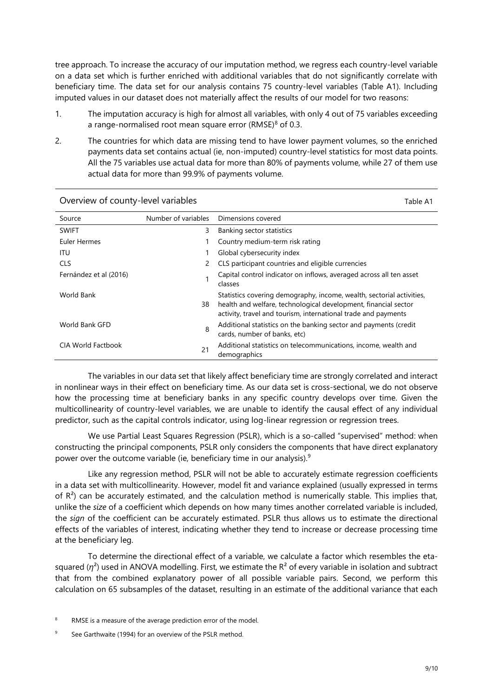tree approach. To increase the accuracy of our imputation method, we regress each country-level variable on a data set which is further enriched with additional variables that do not significantly correlate with beneficiary time. The data set for our analysis contains 75 country-level variables (Table A1). Including imputed values in our dataset does not materially affect the results of our model for two reasons:

- 1. The imputation accuracy is high for almost all variables, with only 4 out of 75 variables exceeding a range-normalised root mean square error  $(RMSE)^8$  of 0.3.
- 2. The countries for which data are missing tend to have lower payment volumes, so the enriched payments data set contains actual (ie, non-imputed) country-level statistics for most data points. All the 75 variables use actual data for more than 80% of payments volume, while 27 of them use actual data for more than 99.9% of payments volume.

| Overview of county-level variables |                       | Table A1                                                                                                                                                                                                   |
|------------------------------------|-----------------------|------------------------------------------------------------------------------------------------------------------------------------------------------------------------------------------------------------|
| Source                             | Number of variables   | Dimensions covered                                                                                                                                                                                         |
| <b>SWIFT</b>                       | 3                     | Banking sector statistics                                                                                                                                                                                  |
| Euler Hermes                       |                       | Country medium-term risk rating                                                                                                                                                                            |
| ITU                                |                       | Global cybersecurity index                                                                                                                                                                                 |
| <b>CLS</b>                         | $\mathbf{2}^{\prime}$ | CLS participant countries and eligible currencies                                                                                                                                                          |
| Fernández et al (2016)             |                       | Capital control indicator on inflows, averaged across all ten asset<br>classes                                                                                                                             |
| World Bank                         | 38                    | Statistics covering demography, income, wealth, sectorial activities,<br>health and welfare, technological development, financial sector<br>activity, travel and tourism, international trade and payments |
| World Bank GFD                     | 8                     | Additional statistics on the banking sector and payments (credit<br>cards, number of banks, etc)                                                                                                           |
| CIA World Factbook                 | 21                    | Additional statistics on telecommunications, income, wealth and<br>demographics                                                                                                                            |

The variables in our data set that likely affect beneficiary time are strongly correlated and interact in nonlinear ways in their effect on beneficiary time. As our data set is cross-sectional, we do not observe how the processing time at beneficiary banks in any specific country develops over time. Given the multicollinearity of country-level variables, we are unable to identify the causal effect of any individual predictor, such as the capital controls indicator, using log-linear regression or regression trees.

We use Partial Least Squares Regression (PSLR), which is a so-called "supervised" method: when constructing the principal components, PSLR only considers the components that have direct explanatory power over the outcome variable (ie, beneficiary time in our analysis).<sup>9</sup>

Like any regression method, PSLR will not be able to accurately estimate regression coefficients in a data set with multicollinearity. However, model fit and variance explained (usually expressed in terms of  $R<sup>2</sup>$ ) can be accurately estimated, and the calculation method is numerically stable. This implies that, unlike the *size* of a coefficient which depends on how many times another correlated variable is included, the *sign* of the coefficient can be accurately estimated. PSLR thus allows us to estimate the directional effects of the variables of interest, indicating whether they tend to increase or decrease processing time at the beneficiary leg.

To determine the directional effect of a variable, we calculate a factor which resembles the etasquared (*η*²) used in ANOVA modelling. First, we estimate the R² of every variable in isolation and subtract that from the combined explanatory power of all possible variable pairs. Second, we perform this calculation on 65 subsamples of the dataset, resulting in an estimate of the additional variance that each

<sup>&</sup>lt;sup>8</sup> RMSE is a measure of the average prediction error of the model.

<sup>&</sup>lt;sup>9</sup> See Garthwaite (1994) for an overview of the PSLR method.